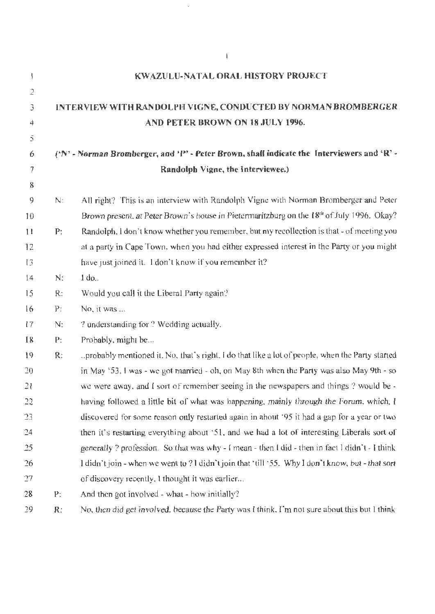| ţ.             |                                                                                            | <b>KWAZULU-NATAL ORAL HISTORY PROJECT</b>                                                             |  |
|----------------|--------------------------------------------------------------------------------------------|-------------------------------------------------------------------------------------------------------|--|
| $\overline{2}$ |                                                                                            |                                                                                                       |  |
| 3              |                                                                                            | INTERVIEW WITH RANDOLPH VIGNE, CONDUCTED BY NORMAN BROMBERGER                                         |  |
| 4              |                                                                                            | AND PETER BROWN ON 18 JULY 1996.                                                                      |  |
| 5              |                                                                                            |                                                                                                       |  |
| 6              | ('N' - Norman Bromberger, and 'P' - Peter Brown, shall indicate the Interviewers and 'R' - |                                                                                                       |  |
| $\overline{f}$ |                                                                                            | Randolph Vigne, the Interviewee.)                                                                     |  |
| 8              |                                                                                            |                                                                                                       |  |
| 9              | N:                                                                                         | All right? This is an interview with Randolph Vigne with Norman Bromberger and Peter                  |  |
| 10             |                                                                                            | Brown present, at Peter Brown's house in Pietermaritzburg on the 18 <sup>th</sup> of July 1996. Okay? |  |
| $\mathbf{1}$   | P:                                                                                         | Randolph, I don't know whether you remember, but my recollection is that - of meeting you             |  |
| 12             |                                                                                            | at a party in Cape Town, when you had either expressed interest in the Party or you might             |  |
| 13             |                                                                                            | have just joined it. I don't know if you remember it?                                                 |  |
| 14             | N:                                                                                         | $1$ do                                                                                                |  |
| 15             | R:                                                                                         | Would you call it the Liberal Party again?                                                            |  |
| 16             | P:                                                                                         | No, it was                                                                                            |  |
| 17             | N:                                                                                         | ? understanding for ? Wedding actually.                                                               |  |
| 18             | P:                                                                                         | Probably, might be                                                                                    |  |
| 19             | R:                                                                                         | probably mentioned it. No, that's right, I do that like a lot of people, when the Party started       |  |
| 20             |                                                                                            | in May '53. I was - we got married - oh, on May 8th when the Party was also May 9th - so              |  |
| 21             |                                                                                            | we were away, and I sort of remember seeing in the newspapers and things? would be -                  |  |
| 22             |                                                                                            | having followed a little bit of what was happening, mainly through the Forum, which, I                |  |
| 23             |                                                                                            | discovered for some reason only restarted again in a hout 95 it had a gap for a year or two           |  |
| 24             |                                                                                            | then it's restarting everything about '51, and we had a lot of interesting Liberals sort of           |  |
| 25             |                                                                                            | generally? profession. So that was why - I mean - then I did - then in fact I didn't - I think        |  |
| 26             |                                                                                            | l didn't join - when we went to ? I didn't join that 'till '55. Why I don't know, but - that sort     |  |
| 27             |                                                                                            | of discovery recently. I thought it was earlier                                                       |  |
| 28             | Р:                                                                                         | And then got involved $\cdot$ what $\overline{\ }$ how initially?                                     |  |
| 29             | R:                                                                                         | No, then did get involved, because the Party was I think, I'm not sure about this but I think         |  |

 $\bar{z}$ 

 $\parallel$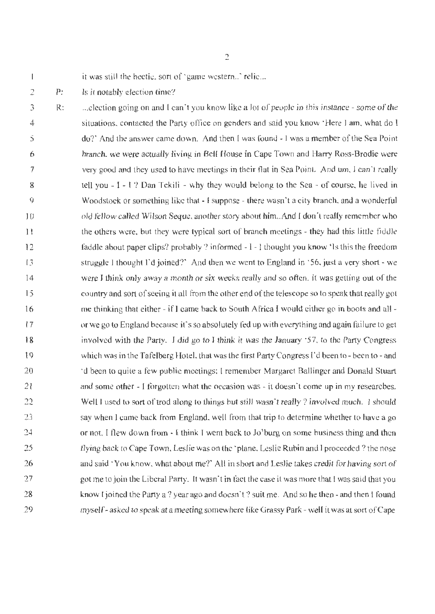$\mathbf{I}$ 

it was still the hectic, sort of 'game western..' relic...

2 P: Is it notably election time?

3 4 5 6 7 8 9 10 11 12 13 14 I 5 16 17 **18**  19 20 21 22 23 24 25 26 27 28 29 R: ... election going on and I can't you know like a lot of people in this jnstance - some of the situations, contacted the Party office on genders and said you know 'Here I am, what do l do?' And the answer came down. And then I was found - I was a member of the Sea Point branch, we were actually living in Bell House in Cape Town and Harry Ross-Brodie were very good and they used to have meetings in their flat in Sea Point. And um, I can't really tell you  $-1 - 1$ ? Dan Tekili - why they would belong to the Sea  $-$  of course, he lived in Woodstock or something like that - I suppose - there wasn't a city branch, and a wonderful old fellow called Wilson Seque, another story about him.. And I don't really remember who the others were, but they were typical sort of branch meetings - they had this little fiddle faddle about paper clips? probably ? informed - I - I thought you know 'Is this the freedom struggle I thought I'd joined?" And then we went to England in '56, just a very short - we were T think only away a month or six weeks really and so often. it was getting out of the country and sort of seeing it all from the other end of the telescope so to speak that really got me thinking that either - if 1 came back lo South Africa I would either go in boots and all or we go to England because it's so absolutely fed up with everything and again failure to get involved with the Party. I did go to I think it was the January '57, to the Party Congress which was in the Tafelberg Hotel, that was the first Party Congress I'd been to- been to - and <sup>t</sup>d been to quite a few public meetings; I remember Margaret Ballinger and Donald Stuart and some other - I forgotten what the occasion was - it doesn't come up in my researches. Well I used to sort of trod along to things but still wasn't really? involved much. I should say when l came back from England. well from that trip to determine whether to have a go or not, I flew down from  $\cdot$  I think I went back to Jo'burg on some business thing and then !lying back to Cape Town, Leslie was on the 'plane, Leslie Rubin and I proceeded? the nose and said 'You know, what about me?' All in short and Leslie takes credit for having sort of got me to join the Liberal Party. It wasn't in fact the case it was more that I was said that you know I joined the Party a ? year ago and doesn't ? suit me. And so he then - and then I found myself- asked to speak at a meeting somewhere like Grassy Park - well it was at sort of Cape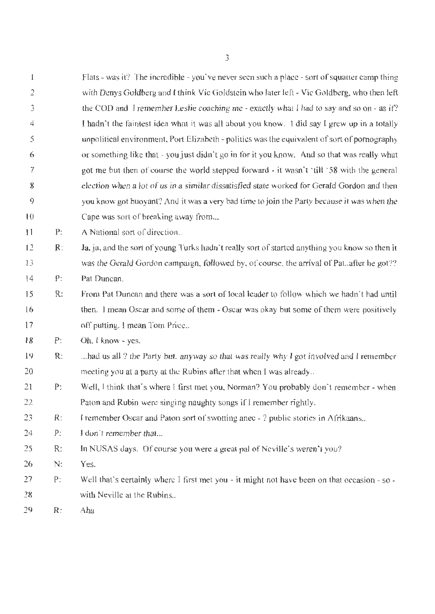| $\overline{\mathbf{I}}$ |                | Flats - was it? The incredible - you've never seen such a place - sort of squatter camp thing    |
|-------------------------|----------------|--------------------------------------------------------------------------------------------------|
| 2                       |                | with Denys Goldberg and I think Vic Goldstein who later left - Vic Goldberg, who then left       |
| 3                       |                | the COD and I remember Leslie coaching me - exactly what I had to say and so on - as if?         |
| 4                       |                | I hadn't the faintest idea what it was all about you know. I did say I grew up in a totally      |
| 5                       |                | unpolitical environment, Port Elizabeth - politics was the equivalent of sort of pornography     |
| 6                       |                | or something like that - you just didn't go in for it you know. And so that was really what      |
| 7                       |                | got me but then of course the world stepped forward $\cdot$ it wasn't 'till '58 with the general |
| 8                       |                | election when a lot of us in a similar dissatisfied state worked for Gerald Gordon and then      |
| 9                       |                | you know got buoyant? And it was a very bad time to join the Party because it was when the       |
| 10                      |                | Cape was sort of breaking away from                                                              |
| 11                      | P:             | A National sort of direction                                                                     |
| 12                      | $\mathbb{R}$ : | Ja, ja, and the sort of young Turks hadn't really sort of started anything you know so then it   |
| 13                      |                | was the Gerald Gordon campaign, followed by, of course, the arrival of Pat. after he got??       |
| 14                      | $\rho$         | Pat Duncan.                                                                                      |
| 15                      | R:             | From Pat Duncan and there was a sort of local leader to follow which we hadn't had until         |
| 16                      |                | then. I mean Oscar and some of them - Oscar was okay but some of them were positively            |
| 17                      |                | off putting, I mean Tom Price                                                                    |
| 18                      | P:             | Oh. I know - yes.                                                                                |
| 19                      | R:             | had us all ? the Party but, anyway so that was really why I got involved and I remember          |
| 20                      |                | meeting you at a party at the Rubins after that when I was already                               |
| 21                      | P:             | Well, I think that's where I first met you, Norman? You probably don't remember - when           |
| 22                      |                | Paton and Rubin were singing naughty songs if I remember rightly.                                |
| 23                      | R:             | I remember Oscar and Paton sort of swotting anec - ? public stories in Afrikaans                 |
| 24                      | P:             | I don't remember that                                                                            |
| 25                      | R:             | In NUSAS days. Of course you were a great pal of Neville's weren't you?                          |
| 26                      | N:             | Yes.                                                                                             |
| 27                      | P:             | Well that's certainly where I first met you - it might not have been on that occasion - so -     |
| 28                      |                | with Neville at the Rubins                                                                       |
| 29                      | R:             | Aha                                                                                              |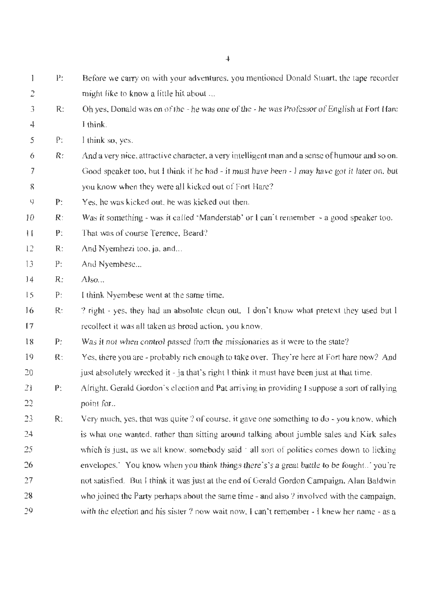| 1                 | $\mathbf{p}$ : | Before we carry on with your adventures, you mentioned Donald Stuart, the tape recorder        |
|-------------------|----------------|------------------------------------------------------------------------------------------------|
| $\mathbb{C}$      |                | might like to know a little hit about                                                          |
| 3                 | $\mathsf{R}$ : | Oh yes. Donald was on of the - he was one of the - he was Professor of English at Fort Hare    |
| 4                 |                | I think.                                                                                       |
| 5                 | ₽:             | I think so, yes.                                                                               |
| 6                 | $\mathsf{R}$ : | And a very nice, attractive character, a very intelligent man and a sense of humour and so on. |
| 7                 |                | Good speaker too, but I think if he had - it must have been - I may have got it later on, but  |
| 8                 |                | you know when they were all kicked out of Fort Hare?                                           |
| 9                 | P:             | Yes, he was kicked out, he was kicked out then.                                                |
| 10                | $\mathsf{R}$ : | Was it something - was it called 'Manderstab' or I can't remember - a good speaker too.        |
| Ħ                 | P:             | That was of course Terence, Beard?                                                             |
| $12 \overline{ }$ | R:             | And Nyemhezi too, ja, and                                                                      |
| 13                | P:             | And Nyembesc                                                                                   |
| 14                | $\mathsf{R}$ : | Also                                                                                           |
| 15                | P:             | I think Nyembese went at the same time.                                                        |
| 16                | R.             | ? right - yes, they had an absolute clean out. I don't know what pretext they used but I       |
| 17                |                | recollect it was all taken as broad action, you know.                                          |
| 18                | P:             | Was it not when control passed from the missionaries as it were to the state?                  |
| 19                | $R$ :          | Yes, there you are - probably rich enough to take over. They're here at Fort hare now? And     |
| 20                |                | just absolutely wrecked it - ja that's right I think it must have been just at that time.      |
| 21                | P:             | Alright. Gerald Gordon's election and Pat arriving in providing I suppose a sort of rallying   |
| 22                |                | point for                                                                                      |
| 23                | R:             | Very much, yes, that was quite ? of course, it gave one something to do - you know, which      |
| 24                |                | is what one wanted, rather than sitting around talking about jumble sales and Kirk sales       |
| 25                |                | which is just, as we all know, somebody said ' all sort of politics comes down to licking      |
| 26                |                | envelopes.' You know when you think things there's's a great battle to be fought' you're       |
| 27                |                | not satisfied. But I think it was just at the end of Gerald Gordon Campaign, Alan Baldwin      |
| 28                |                | who joined the Party perhaps about the same time - and also ? involved with the campaign.      |
| 29                |                | with the election and his sister ? now wait now, I can't remember - I knew her name - as a     |

4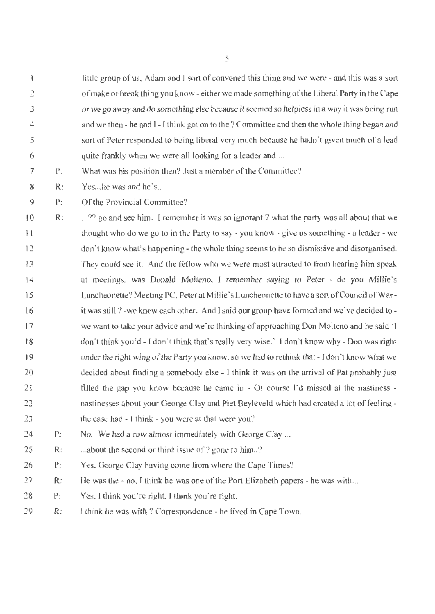1 2 3 4 5 6 little group of us, Adam and 1 sort of convened this thing and we were - and this was a sort of make or break thing you know - either we made something of the Liberal Party in the Cape or we go away and do something else because it seemed so helpless in a way it was being run and we then - he and 1- I think got on to the? Committee and then the whole thing began and sort of Peter responded to being liberal very much because he hadn't given much of a lead quite frankly when we were all looking for a leader and ...

7 P: What was his position then? Just a member of the Committee?

8 R: Yes... he was and he's..

 $\mathbf Q$ P: Of the Provincial Committee:?

10 1 l 12 13 14 15 16 17 18 19 20 21 22 23 R: ...?? go and see him. I remember it was so ignorant? what the party was all about that we thought who do we go to in the Party to say - you know - give us something - a leader - we don't know what's happening - the whole thing seems to be so dismissive and disorganised. They could see it. And the fellow who we were most attracted to from hearing him speak at meetings, was Donald Molteno, I remember saying to Peter - do you Millie's Luncheonette? Meeting PC, Peter at Millie's Luncheonette to have a sort of Council of Warit was still? -we knew each other. And f said our group have formed and we've decided to we want to take your advice and we're thinking of approaching Don Molteno and he said 'I don't think you'd - I don't think that's really very wise.' I don't know why - Don was right under the right wing of the Party you know. so we had to rethink that - [don't know what we decided about finding a somebody else - I think it was on the arrival of Pat probably just filled the gap you know because he came in  $\sim$  Of course I'd missed al the nastiness  $\sim$ nastinesses about your George Clay and Piet Beyleveld which had created a lot of feeling the case had - I think - you were at that were you?

- 24 P: No. We had a row almost immediately with George Clay ...
- 25 R: ... about the second or third issue of ? gone to him...?
- 26 P: Yes, George Clay having come from where the Cape Times?
- 27 R: He was the - no, I think he was one of the Port Elizabeth papers - he was with...
- 28 P: Yes, I think you're right. l think you're right.
- 29 R: 1 think he was with? Correspondence - he lived in Cape Town.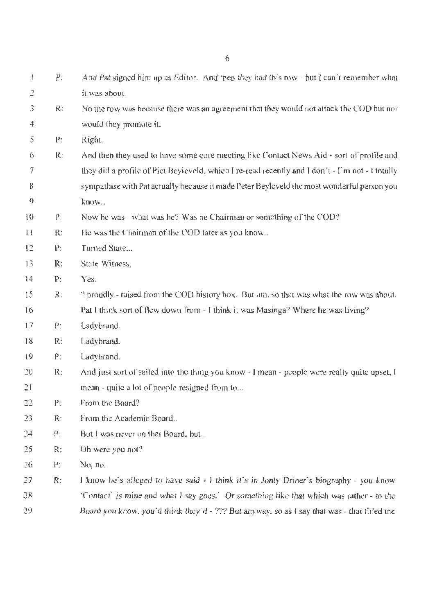$\mathbf{I}$ P: And Pat signed him up as Editor. And then they had this row - but I can't remember what ') it was about. No the row was because there was an agreement that they would not attack the COD but nor 3 R: 4 would they promote it. P: *5*  Right. 6 R: And then they used to have some core meeting like Contact News Aid - sort of profile and 7 they did a profile of Piet Beyleveld, which I re-read recently and I don't - I'm not - I totally 8 sympathise with Pat actually because it made Peter Beyleveld the most wonderful person you  $\mathbf Q$ know... 10 P: Now he was - what was he? Was he Chairman or something of the COD? II R: He was the Chairman of the COD later as you know... 12 P: Turned State... State Witness. 13 R: 14 P: Yes. 15 R: ? proudly - raised from the COD history box. But um, so that was what the row was about. Pat I think sort of flew down from -1 think it was Masinga? Where he was living? 16 17 P: Ladybrand. 18 R: Lady brand. 19 P: Lady brand.  $20$ R: And just sort of sailed into the thing you know - I mean - people were really quite upset, I mean - quite a lot of people resigned from to... 21 P: From the Board? 22 23 From the Academic Board... R: 24 P: But I was never on that Board, but.. 25 R: Oh were you not? 26 P: No, no. 27 R: I know he's alleged to have said - I think it's in Jonty Driner's biography - you know *18*  'Contact' is mine and what I say goes.' Or something like that which was rather - to the

Board you know. you'd think they'd - ??? But anyway. so as f say that was - that filled the

29

6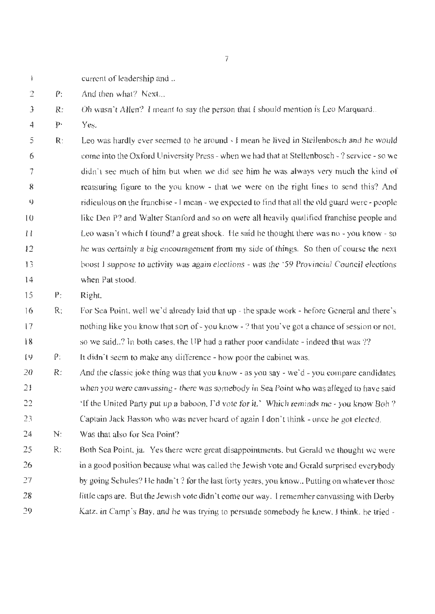- current of leadership and ..  $\mathbf{I}$
- 2 P: And then what? Next...
- 3 R: Oh wasn't Allen? I meant to say the person that I should mention is Leo Marquard..
- 4 P: Yes.

5 6 7 8  $\mathbb Q$  $10$ I I 12 13 14 R: Leo was hardly ever seemed to be around - I mean he lived in Stellenbosch and he would come into the Oxford University Press - when we had that at Stellenbosch-? service - so we didn't see much of him but when we did see him he was always very much the kind of reassuring figure to the you know - that we were on the right lines to send this? And ridiculous on the franchise- I mean - we expected to find that all the old guard were - people like Den P? and Walter Stanford and so on were all heavily qualified franchise people and Leo wasn't which 1 found? a great shock. He said he thought there was no - you know - so he was certainly a big encouragement from my side of things. So then of course the next boost I suppose to activity was again elections - was the ' 59 Provincial Council elections when Pat stood.

15 P: Right.

16 17 18 R: For Sea Point, well we'd already laid that up - the spade work - hefore General and there's nothing like you know that sort of - you know - ? that you've got a chance of session or not. so we said..? In both cases, the UP had a rather poor candidate - indeed that was ??

19 P: It didn·t seem to make any difference - how poor the cabinet was.

- 20 21 22 23 R: And the classic joke thing was that you know- as you say - we·d- you compare candidates when you were canvassing- there was somebody in Sea Point who was alleged to have said "If the United Party put up a baboon, I'd vote for it.' Which reminds me -you know Bob? Captain Jack Basson who was never heard of again I don't think - once he got e lected.
- 24 N: Was that also for Sea Point?
- 25 26 27 28 *29*  R: Both Sea Point, ja. Yes there were great disappointments, but Gerald we thought we were in a good position because what was called the Jewish vote and Gerald surprised everybody by going Schules? He hadn't? for the last forty years, you know.. Putting on whatever those little caps are. But the Jewish vote didn't come our way. I remember canvassing with Derby Katz, in Camp's Bay. and he was trying to persuade somebody he knew, J think, he tried -

7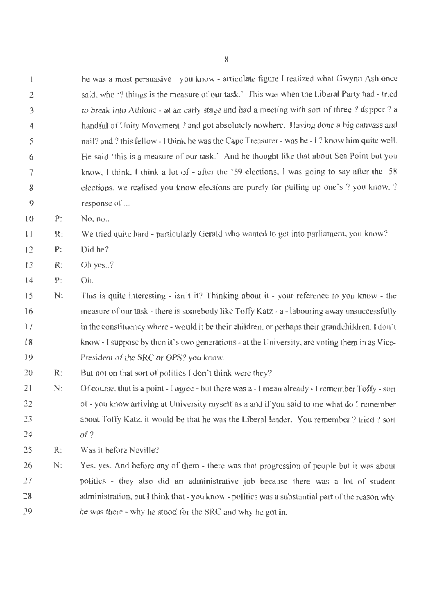he was a most persuasive - you know - articulate figure I realized what Gwynn Ash once said, who '? things is the measure of our task.' This was when the Liberal Party had - tried to break into Athlone - at an early stage and had a meeting with sort of three ? dapper ? a handful of Unity Movement ? and got absolutely nowhere. Having done a big canvass and nail? and ? this fellow - I think he was the Cape Treasurer- was he - I? know him quite well. He said 'this is a measure of our task.' And he thought like that about Sea Point but you know, I think, I think a lot of - after the '59 elections. I was going to say after the '58 elections, we realised you know elections are purely for pulling up one's? you know, ? response of ...

10 P: No, no ..

 $\overline{c}$ 

 $\mathbf{1}$ 

3

4

5

6

7

8

 $\ddot{9}$ 

1 l R: We tried quite hard - particularly Gerald who wanted to get into parliament, you know?

- 12 P: Did he?
- 13 R: Oh yes..?
- 14 P: Oh.
- 15 16 17 18 19 N: This is quite interesting - isn't it? Thinking about it - your reference to you know - the measure of our task - there is somebody like Toffy Katz - a - labouring away unsuccessfully in the constituency where - would it be their children, or perhaps their grandchildren. I don't know - I suppose by then it's two generations - at the University, are voting them in as Vice-President of the SRC or OPS? you know...
- 20 R: But not on that sort of politics I don't think were they?
- 21 22 23 24 N: Of course. that is a point -1 agree - but there was a - l mean already - I remember Toffy - sort of - you know arriving at University myself as a and if you said to me what do I remember about Toffy Katz, it would be that he was the Liberal leader. You remember ? tried ? sort of?
- 25 R: Was it before Neville?
- 26 27 28 29 N: Yes, yes. And before any of them - there was that progression of people but it was about politics - they also did an administrative job because there was a lot of student administration, but I think that - you know- politics was a substantial part of the reason why he was there - why he stood for the SRC and why he got in.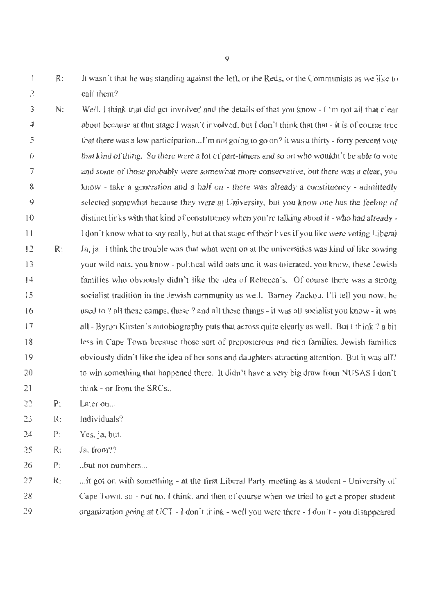It wasn't that he was standing against the left, or the Reds, or the Communists as we like to  $\overline{1}$ R: 2 call them?

- 3 4 5 6 7 8 9 IO 11 12 *13*  14 15 16 17 18 19 20 21 N: R: Well. I think that did get involved and the details of that you know -1 'm not all that clear about because at that stage I wasn't involved, but I don't think that that - it is of course true that there was a low participation... I'm not going to go on? it was a thirty-forty percent vote that kind of thing. So there were a lot of part-timers and so on who wouldn't be able to vote and some of those probably were somewhat more conservative, but there was a clear, you know - take a generation and a half on - there was already a constituency - admittedly selected somewhat because they were at University, but you know one has the feeling of distinct links with that kind of constituency when you 're talking about it - who had already - I don·t know what to say really. but at that stage of their lives if you like were voting Liberal Ja, ja. I think the trouble was that what went on at the universities was kind of like sowing your wild oats. you know - political wild oats and it was tolerated, you know, these Jewish families who obviously didn't like the idea of Rebecca's. Of course there was a strong socialist tradition in the Jewish community as well.. Barney Zackou, I'll tell you now. he used to ? all these camps, these ? and all these things - it was all socialist you know - it was all - Byron Kirsten's autobiography puts that across quite clearly as well. But I think? a bit less in Cape Town because those sort of preposterous and rich families. Jewish families obviously didn't like the idea of her sons and daughters attracting attention. But it was all? to win something that happened there. It didn't have a very big draw from NUSAS I don't think - or from the  $SRCs$ ..
- 22 P: Later on...
- *23*  R: Individuals?
- 24 P: Yes, ja. but..
- 25 R: Ja, from??
- 26 P: .. but not numbers ...

27 28 29 R: ... it got on with something - at the first Liberal Party meeting as a student - University of Cape Town, so - but no, 1 think, and then of course when we tried to get a proper student organization going at UCT - J don·t think - well you were there - I don't - you disappeared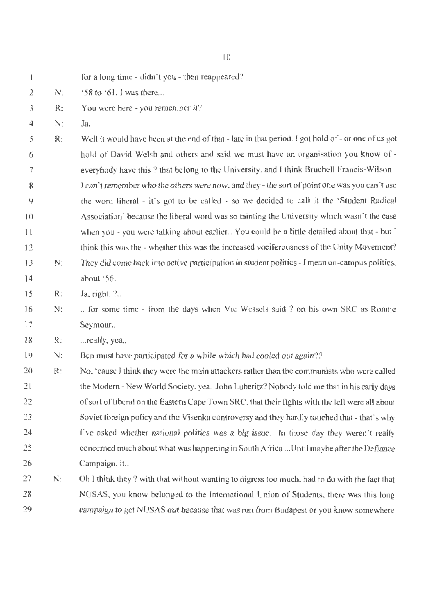2 3 4 5 6 7 8 9 10 11 12 13 14 15 16 17 18 19 20 21 22  $73$ N: R: N: R: N: R: N: R: N: R:  $\cdot$  58 to  $\cdot$  61. I was there... You were here - you remember it? .la. Well it would have been at the end of that- late in that period, I got hold of- or one of us got hold of David Welsh and others and said we must have an organisation you know of everyhody have this ? that belong to the University, and I think Bruchell Francis-Wilson -T can't remember who the others were now. and they- the sort of point one was you can't use the word liberal  $\cdot$  it's got to be called  $\cdot$  so we decided to call it the 'Student Radical Association' because the liberal word was so tainting the University which wasn't the case when you - you were talking about earlier.. You could he a little detailed about that - but I think this was the - whether this was the increased vociferousness of the Unity Movement? They did come back into active participation in student politics - I mean on-campus politics. about '56. Ja, right, ?.. .. for some time - from the days when Vic Wessels said ? on his own SRC as Ronnie Seymour.. ... really, yea... Ben must have participated for a while which had cooled out again?? No, 'cause I think they were the main attackers rather than the communists who were called the Modern - New World Society, yea. John Luberitz? Nobody told me that in his early days of sort ofliberal *on* the Eastern Cape Town SRC. that their fights with the left were all about Soviet foreign policy and the Visenka controversy and they hardly touched that - that's why

- 24 25 26 rve asked whether national politics was a big issue. In those day they weren't really concerned much about what was happening in South Africa ... Until maybe after the Defiance Campaign, it..
- 27 28 29 N: Oh 1 think they ? with that without wanting to digress too much. had to do with the fact that NUSAS, you know belonged to the International Union of Students, there was this long campaign to get NUSAS out because that was run from Budapest or you know somewhere

10

for a long time - didn't you - then reappeared?

 $\mathbf{I}$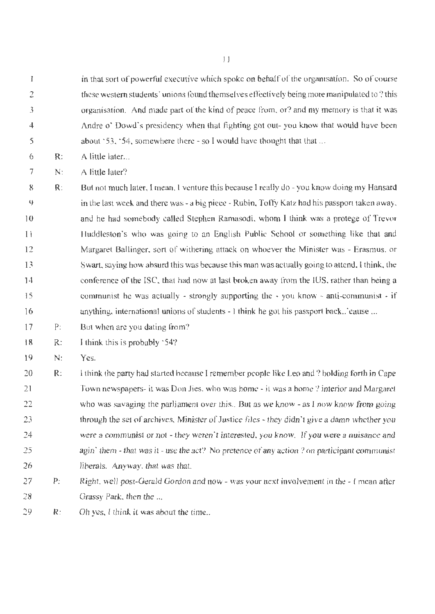in that sort of powerful executive which spoke on behalf of the organisation. So of course  $\mathbf{l}$ 2 these western students' unions found themselves effectively being more manipulated to? this 3 organisation. And made part of the kind of peace from, or? and my memory is that it was Andre o' Dowd·s presidency when that fighting got out- you know that would have been 4 about '53, '54, somewhere there - so I would have thought that that ... 5

6 R: A little later ...

7 N: A little later?

8 9 10 11 12 13 14 15 16 R: But not much later, 1 mean, I venture this because I really do - you know doing my Hansard in the last week and there was - a big piece- Rubin, Toffy Katz had his passport taken away. and he had somebody called Stephen Ramasodi, whom I think was a protege of Trevor Huddleston's who was going to an English Public School or something like that and Margaret Ballinger. sort of withering attack on whoever the Minister was - Erasmus. or Swart, saying how absurd this was because this man was actually going to attend, l think. the conference of the ISC, that had now at last broken away from the IUS, rather than being a communist he was actually - strongly supporting the  $\cdot$  you know - anti-communist  $\cdot$  if anything, international unions of students - I think he got his passport back .. 'cause ...

17 P: But when are you dating from?

18 R: I think this is probably '54?

19 N: Yes.

20 21 22 23 24 25 26 R: I think the party had started because I remember people like Leo and ? holding forth in Cape Town newspapers- it *was* Don Jies, who was home - it was a home? interior and Margaret who was savaging the parliament over this.. But as we know - as I now know from going through the set of archives, Minister of Justice files - they didn't give a damn whether you were a communist or not - they weren't interested. you know. If you were a nuisance and agin' them - that was it - use the act? No pretence of any action ? on participant communist liberals. Anyway. that was that.

27 28 P: Right. well post-Gerald Gordon and now - was your next involvement in the - I mean after Grassy Park, then the ...

29 R: Oh yes, I think it was about the time...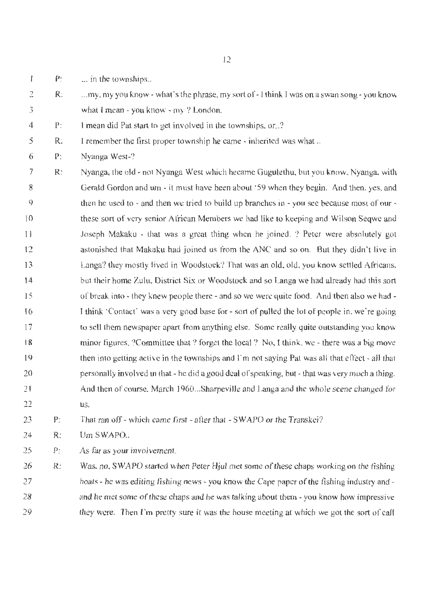- $\mathbf{1}$ P: ... in the townships...
- $\overline{a}$ 3 R: ... my, my you know - what's the phrase. my sort of - I think I was on a swan song-you know what I mean - you know - my ? London.
- 4 P: I mean did Pat start to get involved in the townships. or..?
- *5*  R: I remember the first proper township he came - inherited was what ..
- 6 P: Nyanga West-?
- 7 8 9 10 11 12 13 14 15 16 17 18 19 20 21 22 R: Nyanga, the old - not Nyanga West which hecame Gugulethu, but you know, Nyanga, with Gerald Gordon and um - it must have been about '59 when they begin. And then. yes. and then he used to - and then we tried to build up branches in - you see because most of our these sort of very senior African Members we had like to keeping and Wilson Seqwe and Joseph Makaku - that was a great thing when he joined. ? Peter were absolutely got astonjsbed that Makaku had joined us from the ANC and so on. But they didn't live in Langa? they mostly lived in Woodstock? That was an old, old, you know settled Africans. but their home Zulu. District Six or Woodstock and so Langa we had already had this sort of break into - they knew people there - and so we were quite food. And then also we had l lhink 'Contact' was a very good base for- sort of pulled the lot of people in, we're going to sell them newspaper apart from anything else. Some really quite outstanding you know minor figures. ?Committee that ? forget the local ? No, I think, we - there was a big move then into getting active in the townships and  $\Gamma$ m not saying Pat was all that effect - all that personally involved m that - he did a good deal of speakjng, but- that was very much a thing. And then of course, March 1960...Sharpeville and Langa and the whole scene changed for us.

23 P: That ran off - which came first - after that - SW *APO* or the Transkei?

- 24 R: Um SWAPO...
- 25 P: As far as your involvement

26 27 28 29 R: Was. no, SWAPO started when Peter Hjul met some of these chaps working on the fishing boats - he was editing fishing news - you know the Cape paper of the fishing industry and and he met some of these chaps and he was talking about them - you know how impressive they were. Then I'm pretty sure it was the house meeting at which we got the sort of call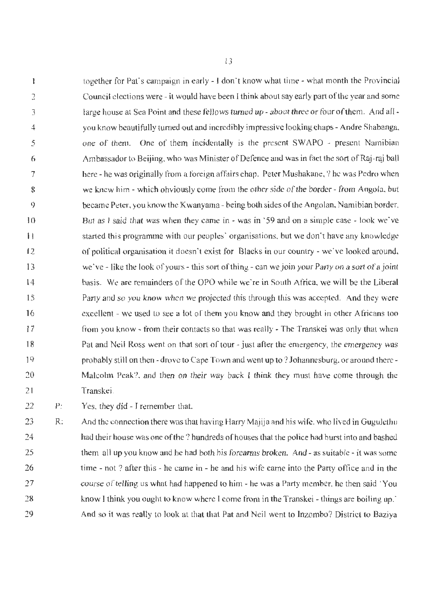together for Pat's campaign in early -1 don't know what time - what month the Provincial  $\mathbf{I}$ Council elections were - it would have been I think about say early part of the year and some 2 large house at Sea Point and these fellows turned up - about three or four of them. And all -3 you know beautifully turned out and incredibly impressive looking chaps - Andre Shabanga, 4 5 one of them. One of them incidentally is the present SWAPO - present Namibian 6 Ambassador to Beijing, who was Minister of Defence and was in fact the sort of Raj-raj ball 7 here - he was originally from a foreign affairs chap. Peter Mushakane, ? he was Pedro when we knew him - which obviously come from the other side of the border - from Angola, but 8 9 became Peter, you know the Kwanyama - being both sides of the Angolan, Namibian border. 10 But as I said that was when they came in - was in '59 and on a simple case - look we've started this programme with our peoples' organisations, but we don't have any knowledge 11 of political organisation it doesn't exist for Blacks in our country - we've looked around, 12 13 we've - like the look of yours - this sort of thing - can we join your Party on a sort of a joint 14 basis. We are remainders of the OPO while we're in South Africa, we will be the Liberal 15 Party and so you know when we projected this through this was accepted. And they were 16 excellent - we used to see a lot of them you know and they brought in other Africans too from you know - from their contacts so that was really - The Transkei was only that when 17 18 Pat and Neil Ross went on that sort of tour- just after the emergency, the emergency was probably still on then - drove to Cape Town and went up to ? Johannesburg, or around there -19 Malcolm Peak?. and then on their way back I think they must have come through the 20 21 Transkei.

22 P: Yes, they did - I remember that.

23 24 25 26 27 28 29 R: And the connection there was that having Harry Majija and his wife, who lived in Gugulcthu had their house was one of the ? hundreds of houses that the police had burst into and bashed them all up you know and he had both his forearms broken. And - as suitable - it was some time - not ? after this - he came in - he and his wife came into the Party office and in the course of telling us what had happened to him- he was a Party member, he then said 'You know I think you ought to know where I come from in the Transkei - things are boiling up.' And so it was really to loolk at that that Pat and Neil went to lnzombo? District to Baziya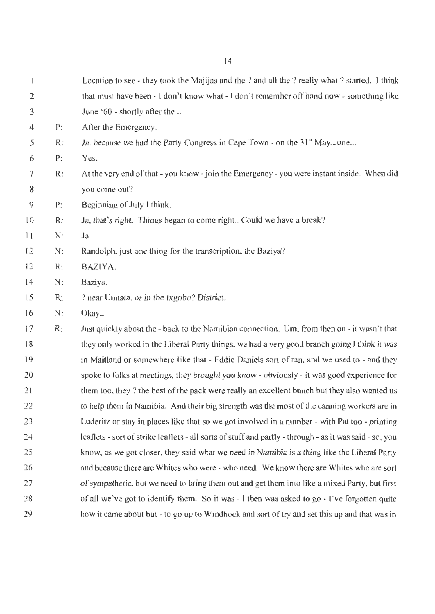| 1  |                | Location to see - they took the Majijas and the ? and all the ? really what ? started. 1 think          |
|----|----------------|---------------------------------------------------------------------------------------------------------|
| 2  |                | that must have been - I don't know what - I don't remember off hand now - something like                |
|    |                |                                                                                                         |
| 3  |                | June $60$ - shortly after the                                                                           |
| 4  | P:             | After the Emergency.                                                                                    |
| 5  | R:             | Ja, because we had the Party Congress in Cape Town - on the 31 <sup>st</sup> Mayone                     |
| 6  | P:             | Yes.                                                                                                    |
| 7  | $\mathbb{R}$ : | At the very end of that - you know - join the Emergency - you were instant inside. When did             |
| 8  |                | you come out?                                                                                           |
| 9  | P:             | Beginning of July I think.                                                                              |
| 10 | R:             | Ja, that's right. Things began to come right Could we have a break?                                     |
| 11 | N:             | Ja.                                                                                                     |
| 12 | N:             | Randolph, just one thing for the transcription, the Baziya?                                             |
| 13 | R:             | BAZIYA.                                                                                                 |
| 14 | N:             | Baziya.                                                                                                 |
| 15 | R:             | ? near Umtata, or in the Ixgobo? District.                                                              |
| 16 | N:             | Okay                                                                                                    |
| 17 | R:             | Just quickly about the - back to the Namibian connection. Um, from then on - it wasn't that             |
| 18 |                | they only worked in the Liberal Party things, we had a very good branch going I think it was            |
| 19 |                | in Maitland or somewhere like that - Eddie Daniels sort of ran, and we used to - and they               |
| 20 |                | spoke to folks at meetings, they brought you know - obviously - it was good experience for              |
| 21 |                | them too, they? the best of the pack were really an excellent bunch but they also wanted us             |
| 22 |                | to help them in Namibia. And their big strength was the most of the canning workers are in              |
| 23 |                | Luderitz or stay in places like that so we got involved in a number - with Pat too - printing           |
| 24 |                | leaflets - sort of strike leaflets - all sorts of stuff and partly - through - as it was said - so, you |
| 25 |                | know, as we got closer, they said what we need in Namibia is a thing like the Liberal Party             |
| 26 |                | and because there are Whites who were - who need. We know there are Whites who are sort                 |
| 27 |                | of sympathetic, but we need to bring them out and get them into like a mixed Party, but first           |
| 28 |                | of all we've got to identify them. So it was - I then was asked to go - I've forgotten quite            |
| 29 |                | how it came about but - to go up to Windhoek and sort of try and set this up and that was in            |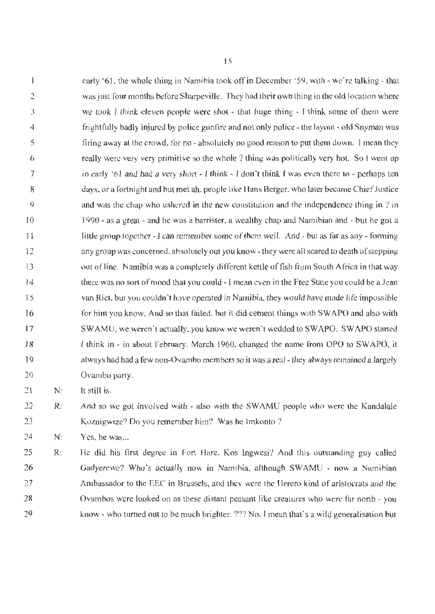$\mathbf{j}$ early '61, the whole thing in Namibia took off in December· 59, with - we 're talking - that 2 was just four months before Sharpeville. They had their own thing in the old location where we took I think eleven people were shot - that huge thing - J think some of them were 3 frightfully badly injured by police gunfire and not only police - the layout - old Snyman was 4 5 firing away at the crowd, for no - absolutely no good reason to put them down. I mean they 6 really were very very primitive so the whole? thing was politically very hot. So I went up 7 in early '61 and had a very short - I think - I don't think I was even there to - perhaps ten days, or a fortnight and but met ah, people like Hans Berger. who later became Chief Justice 8  $\overline{Q}$ and was the chap who ushered in the new constitution and the independence thing in ? in 10 1990 - as a great - and he was a barrister, a wealthy chap and Namibian and - but he got a little group together- I can remember some of them well. And - but as far as any - forming 11 any group was concerned, absolutely out you know - they were all scared to death of stepping 12 13 out of line. Namibia was a completely different kettle of fish from South Africa in that way 14 there was no sort of mood that you could -1 mean even in lhe Free State you could be a Jean 15 van Riet, but you couldn"t have operated in Namibia, they wouJd have made life impossible 16 for him you know. And so that failed, but it did cement things with SW APO and also with 17 SWAMU, we weren't actually, you know we weren't wedded to SWAPO. SWAPO started I think in - in about February. March 1960, changed the name from OPO to SWAPO, it 18 always had had a few non-Ovambo members so it was a real - they always remained a largely 19 20 Ovambo party.

 $21$ N: It still is.

22 23 R: And so we got involved with - also with the SWAMU people who were the Kandalale Koznigwize? Do you remember him? Was he Imkonto ?

24 N: Yes. he was...

*15*  26 27 28 29 R: He did his first degree in Fort Hare. Kos Ingwesi? And this outstanding guy called Gadyerewe? Who's actually now in Namibia, although SWAMU - now a Namibian Ambassador to the EEC in Brussels, and they were the Herero kind of aristocrats and the Ovambos were looked on as these distant peasant like creatures who were far north - you know - who turned out to be much brighter. ??? No. I mean that's a wild generalisation but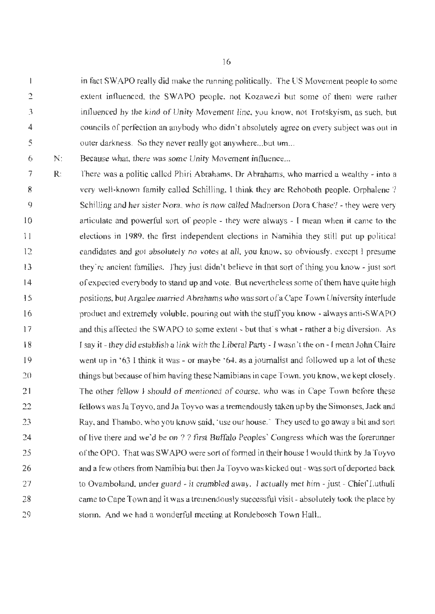$\mathbf{I}$ in fact SW APO really did make the running politically. The US Movement people lo some 2 extent influenced, the SWA PO people. not Kozawezi but some of them were rather 3 influenced by the kind of Unity Movement line, you know, not Trotskyism, as such. but 4 councils of perfection an anybody who didn't absolutely agree on every subject was out in 5 outer darkness. So they never really got anywhere...but um...

6 N: Because what, there was some Unity Movement influence...

7 8 9 10 I 1 12 13 14 15 16 17 18 19 20 21 22 23 24 25 26 27 28 29 R: There was a politic called Phiri Abrahams. Dr Abrahams, who married a wealthy - into a very well-known family called Schilling, l think they are Rehoboth people, Orphalene ? Schilling and her sister Nora, who is now called Madnerson Dora Chase? - they were very articulate and powerful sort of people - they were always - I mean when it came to the elections in 1989. the first independent elections io Namibia they still put up political candidates and got absolutely no votes at all, you know, so obviously, except I presume they're ancient families. They jusl didn't believe in that sort of thing you know - just sort of expected everybody to stand up and vote. But nevertheless some of them have quite high positions, but Argalee married Abrahams who was sort of a Cape Town University interlude product and extremely voluble, pouring out with the stuff you know- always anti-SW APO and this affected the SW APO to some extent - but that's what - rather a big diversion. As r say it - they did establish a I ink with the Liberal Party - I wasn't the on - I mean John Claire went up in '63 I think it was - or maybe '64, as a journalist and followed up a lot of these things but because of him having these Namibians in cape Town, you know, we kept closely. The other fellow I should of mentioned of course, who was in Cape Town before these fellows was Ja Toyvo, and Ja Toyvo was a tremendously taken up by the Simonses, Jack and Ray, and Thambo, who you know said, 'use our house.' They used to go away a bit and sort of live there and we'd be on ? ? first Buffalo Peoples' Congress which was the forerunner of the OPO. That was SWAPO were sort of formed in their house I would think by Ja Toyvo and a few others from Namibia but then Ja Toyvo was kicked out - was sort of deported back to Ovamboland, under guard - it crumbled away. I actually met him - just - Chief Luthuli came to Cape Town and it was a tremendously successful visit - absolutely took the place by storm. And we had a wonderful meeting at Rondebosch Town Hall..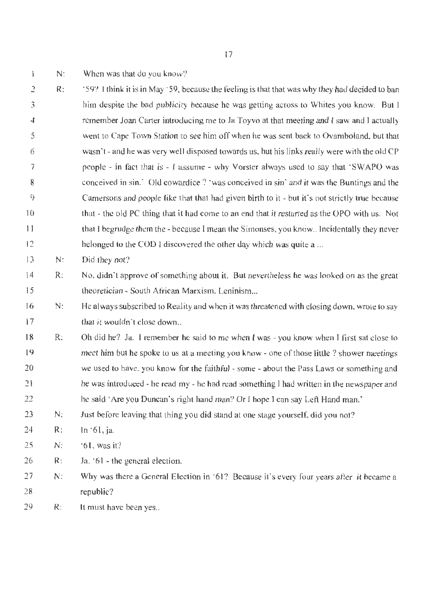$\mathbf{1}$ N: When was that do you know?

2 3 4 5 6 7 8 9 10  $11$ 12 R: '59? I thfok it is in May· 59, because the feeling is that that was why they had decided to ban him despite the bad publicity because he was getting across to Whites you know. But J remember Joan Carter introducing me to Ja Toyvo at that meeting and I saw and l actually went to Cape Town Station to see him off when he was sent back to Ovamboland, but that wasn't - and be was very well disposed towards us, but his links really were with the old CP people - in fact that is - 1 assume - why Vorster always used to say that 'SWAPO was conceived in sin.' Old cowardice ? 'was conceived in sin' and it was the Buntings and the Camersons and people like that that had given birth to it - but it's not strictly true because that - the old PC thing that it had come to an end that it restarted as the OPO with us. Not that I begrudge them the - because I mean the Simonses, you know.. Incidentally they never belonged to the COD I discovered the other day which was quite a ...

13 N: Did they not?

- 14 15 R: No, didn't approve of something about it. But nevertheless he was looked on as the great theoretician - South African Marxism, Leninism...
- 16 17 N: He always subscribed to Reality and when it was threatened with closing down, wrote to say that it wouldn't close down...
- 18 19 20 21 22 R: Oh did he? Ja. I remember he said to me when I was - you know when I first sat close to meet him but he spoke to us at a meeting you know - one of those little ? shower meetings we used to have. you know for the faithful - some - about the Pass Laws or something and he was introduced - he read my - he had read something I had written in the newspaper and he said 'Are you Duncan's right hand man? Or I hope I can say Left Hand man.'
- 23 N: Just before leaving that thing you did stand at one stage yourself, did you not?
- 24 R: ln ·61,ja.
- 25 N: '61,wasit?
- 26 R: Ja. ·6] - the general election.
- 27 28 N: Why was there a General Election in '61? Because it's every four years after it became a republic?
- 29 R: It must have been yes..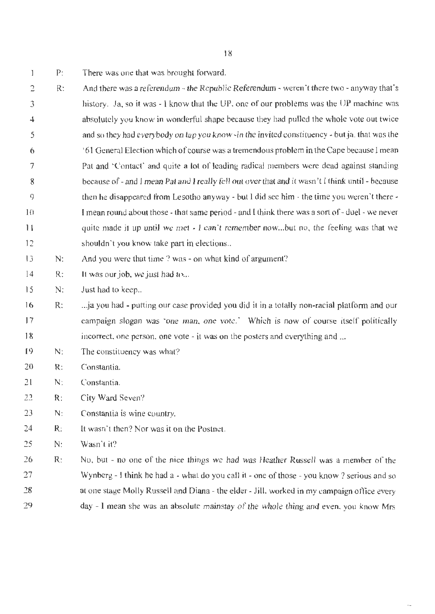- 1 P: There was one that was brought forward.
- 2 3 4 5 6 7 8 9 JO 11 12 R: And there was a referendum  $-$  the Republic Referendum - weren't there two - anyway that's history. Ja, so it was - I know that the UP, one of our problems was the UP machine was absolutely you know in wonderful shape because they had pulled the whole vote out twice and so they had everybody on tap you know-in the invited constituency - but ja. that was the '61 General Election which of course was a tremendous problem in the Cape because I mean Pat and 'Contact' and quite a lot of leading radical members were dead against standing because of - and I mean Pat and I really fell out over that and it wasn't I think until - because then he disappeared from Lesotho anyway - but I did see him  $\cdot$  the time you weren't there  $\cdot$ I mean round about those - that same period - and I think there was a sort of - duel - we never quite made it up until we met - I can't remember now...but no, the feeling was that we shouldn't you know take part in elections..
- 13 N: And you were that time ? was - on what kind of argument?
- 14 R: It was our job, we just had to...
- 15 N: Just had to keep...
- 16 17 I 8 R: ... ja you had - putting our case provided you did it in a totally non-racial platform and our campaign slogan was 'one man, one vote.' Which is now of course itself politically incorrect, one person. one vote - it was on the posters and everything and ...
- 19 N: The constituency was what?
- 20 R: Constantia.
- 21 N: Constantia.
- 22 R: City Ward Seven?
- 23 N: Constantia is wine country.
- 24 R: It wasn't then? Nor was it on the Postnet.
- 25 N: Wasn't it?
- 26 27 28 29 R: No, but - no one of the nice things we had was Heather Russell was a member of the Wynberg - I think he had a - what do you call it - one of those - you know ? serious and so at one stage Molly Russell and Diana - the elder - Jill. worked in my campaign office every day - I mean she was an absolute mainstay of the whole thing and even. you know Mrs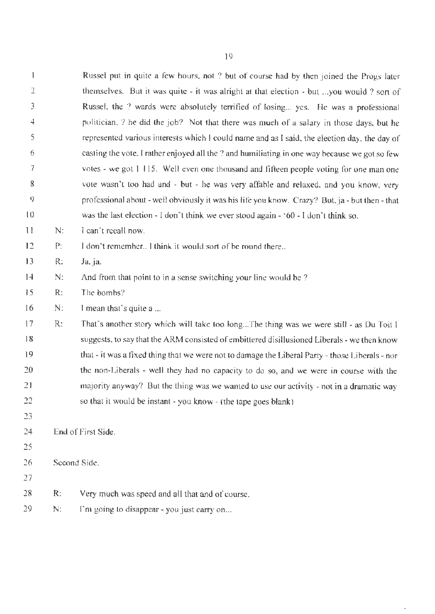|                |                                                                                                       | Russel put in quite a few hours, not ? but of course had by then joined the Progs later         |  |
|----------------|-------------------------------------------------------------------------------------------------------|-------------------------------------------------------------------------------------------------|--|
| $\overline{2}$ |                                                                                                       | themselves. But it was quite - it was alright at that election - but you would ? sort of        |  |
| 3              |                                                                                                       | Russel, the ? wards were absolutely terrified of losing yes. He was a professional              |  |
| 4              |                                                                                                       | politician, ? he did the job? Not that there was much of a salary in those days, but he         |  |
| 5              |                                                                                                       | represented various interests which I could name and as I said, the election day, the day of    |  |
| 6              |                                                                                                       | casting the vote. I rather enjoyed all the ? and humiliating in one way because we got so few   |  |
| 7              |                                                                                                       | votes - we got 1 115. Well even one thousand and fifteen people voting for one man one          |  |
| 8              |                                                                                                       | vote wasn't too had and - but - he was very affable and relaxed, and you know, very             |  |
| 9              |                                                                                                       | professional about - well obviously it was his life you know. Crazy? But, ja - but then - that  |  |
| 10             | was the last election $\cdot$ I don't think we ever stood again $\cdot$ '60 $\cdot$ I don't think so. |                                                                                                 |  |
| $\frac{1}{2}$  | N:                                                                                                    | I can't recall now.                                                                             |  |
| 12             | I don't remember I think it would sort of be round there<br>P:                                        |                                                                                                 |  |
| 13             | R:                                                                                                    | Ja, ja.                                                                                         |  |
| 14             | N:                                                                                                    | And from that point to in a sense switching your line would be?                                 |  |
| 15             | R:                                                                                                    | The bombs?                                                                                      |  |
| 16             | N:                                                                                                    | I mean that's quite a                                                                           |  |
| 17             | R:                                                                                                    | That's another story which will take too longThe thing was we were still - as Du Toit I         |  |
| 18             |                                                                                                       | suggests, to say that the ARM consisted of embittered disillusioned Liberals - we then know     |  |
| 19             |                                                                                                       | that - it was a fixed thing that we were not to damage the Liberal Party - those Liberals - nor |  |
| 20             |                                                                                                       | the non-Liberals - well they had no capacity to do so, and we were in course with the           |  |
| 21             |                                                                                                       | majority anyway? But the thing was we wanted to use our activity - not in a dramatic way        |  |
| 22             |                                                                                                       | so that it would be instant - you know - (the tape goes blank)                                  |  |
| 23             |                                                                                                       |                                                                                                 |  |
| 24             |                                                                                                       | End of First Side.                                                                              |  |
| 25             |                                                                                                       |                                                                                                 |  |
| 26             | Second Side.                                                                                          |                                                                                                 |  |
| 27             |                                                                                                       |                                                                                                 |  |
| 28             | R:                                                                                                    | Very much was speed and all that and of course.                                                 |  |
| 29             | N:                                                                                                    | I'm going to disappear - you just carry on                                                      |  |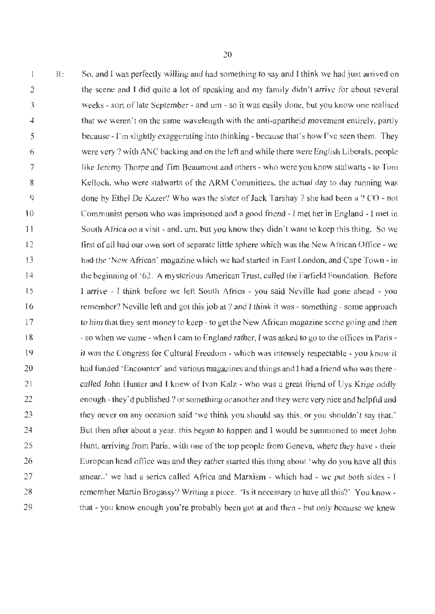So. and I was perfectly willing and had something to say and I think we had just arrived on  $\mathbf{1}$ R: the scene and T did quite a lot of speaking and my family didn't arrive for about several 2 weeks - sort of late September - and um - so it was easily done, but you know one realised 3 that we weren't on the same wavelength with the anti-apartheid movement entirely, partly 4 because - l'm slightly exaggerating into thinking - because that's how I've seen them. They *5*  were very? with ANC backing and on the left and while there were English Liberals, people 6 like Jeremy Thorpe and Tim Beaumont and others - who were you know stalwarts - to Tom 7 Kelloch. who were stalwarts of the ARM Committees, the actual day to day running was 8  $\overline{Q}$ done by Ethel De Kazer? Who was the sister of Jack Tarshay? she had been a? CO - not Communist person who was imprisoned and a good friend - I met her in England -1 met in 10 South Africa on a visit - and, um, but you know they didn't want to keep this thing. So we 1 1 first of all had our own sort of separate little sphere which was the New African Office - we 12 had the 'New African' magazine which we had started in East London, and Cape Town - in 13 14 the beginning of '62. A mysterious American Trust, called the Farfield Foundation. Before I arrive - I think before we left South Africa - you said Neville had gone ahead - you 15 16 remember? Neville left and got this job at? and I think it was - something- some approach to him that they sent money to keep- to get the New African magazine scene going and then 17 - so when we came - when I cam to England rather, I was asked to go to the offices in Paris -18 19 it was the Congress for Cultural Freedom - which was intensely respectable - you know it 20 had funded 'Encounter' and various magazines and things and I had a friend who was there called John Hunter and I knew of Ivan Kalz - who was a great friend of Uys Krige oddly 21 enough - they'd published? or something or another and they were very nice and helpful and 22 23 they never on any occasion said 'we think you should say this, or you shouldn't say that.' But then after about a year, this began to happen and I would be summoned to meet John 24 Hunt, arriving from Paris. with one of the top people from Geneva, where they have - their 25 26 European head office was and they rather started this thing about 'why do you have all this smear..' we had a series called Africa and Marxism - which had - we put both sides - I 27 remember Martin Brogassy? Writing a piece. 'Is it necessary to have all this?' You know -28 29 that - you know enough you're probably been got at and then - but only because we knew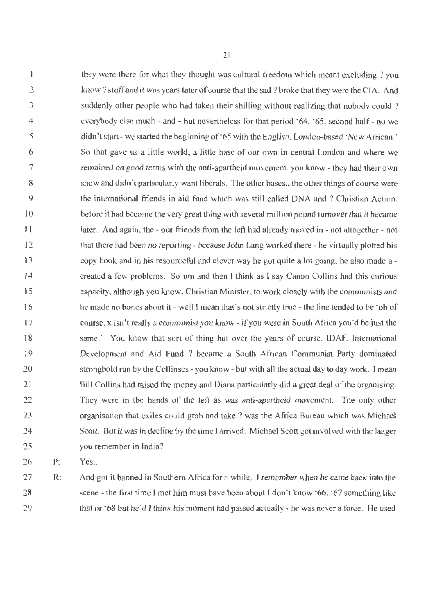they were there for what they thought was cultural freedom which meant excluding? you  $\mathbf{I}$ 2 know? stuff and it was years later of course that the sad? broke that they were the CIA. And 3 suddenly other people who had taken their shilling without realizing that nobody could  $\ell$ 4 everybody else much - and - but nevertheless for that period '64, '65, second half - no we 5 didn't start- we started the beginning of '65 with the English. London-based 'New African.' 6 So that gave us a little world, a little hase of our own in central London and where we 7 remained on good terms with the anti-apartheid movement, you know - they had their own 8 show and didn't particularly want liberals. The other bases,, the other things of course were 9 the international friends in alid fund which was still called DNA and ? Christian Action, 10 before it had become the very great thing with several million pound turnover that it became 1 I later. And again, the - our friends from the left had already moved in - not altogether - not 12 that there had been no reporting - because John Lang worked there - he virtually plotted his copy book and in his resourceful and clever way he got quite a lot going. he also made a - 13 14 created a few problems. So wn and then 1 think as I say Canon Collins had this curious 15 capacity, although you know, Christian Minister, to work closely with the communists and he made no bones about it - well I mean that's not strictly true - the line tended to be 'oh of 16 17 course. x isn't really a communist you know - if you were in South Africa you'd be just the same.' You know that sort of thing but over the years of course, IDAF, International 18 19 Development and Aid Fund ? became a South African Communist Party dominated 20 stronghold run by the Collinses - you know - but with all the actual day to day work. I mean 21 Bill Collins had raised the money and Diana particularly did a great deal of lhe organising. They were in the hands of the left as was anti-apartheid movement. The only other 22 23 organisation that exiles could grab and take ? was the Africa Bureau which was Michael 24 Scott. But it was in decline by the time I arrived. Michael Scott got involved with the laager 25 you remember in India?

26 P: Yes..

27 28 29 R: And got it banned in Southern Africa for a while. I remember when he came back into the scene - the first time I met him must bave been about I don't know '66, '67 something like that or '68 but he'd I think his moment had passed actually - he was never a force. He used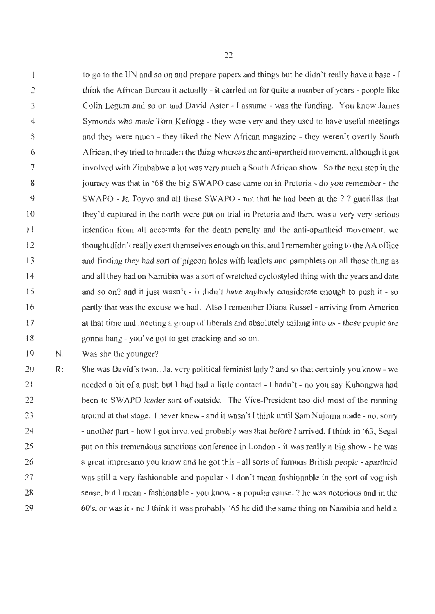to go to the UN and so on and prepare papers and things but he didn't really have a base - I  $\lfloor$ 2 think the African *Bureau* it actually - il carried on for quite a number of years - people like 3 Colin Legum and so on and David Aster - I assume - was the funding. You know James Symonds who made Tom Kellogg - they were very and they used to have useful meetings 4 and they were much - they liked the New African magazine - they weren't overtly South 5 African, they tried to broaden the thing whereas the antj-apartheid movement, although it got 6 7 involved with Zimbabwe a lot was very much a South African show. So the next step in the 8 journey was that in '68 the big SW APO case came on in Pretoria - do you remember - the 9 SW APO - Ja Toyvo and all these SW APO - not that he had been at the? ? guerillas that they'd captured in the north were put on trial in Pretoria and there was a very very serious 10 intention from all accounts for the death penalty and the anti-apartheid movement, we I 1 12 thought dido 't really exert themselves enough on this, and I remember going to the AA office and finding they had sort of pigeon holes with leaflets and pamphlets on all those thing as 13 14 and all they had on Namibia was a sort of wretched cyclostyled thing with the years and date and so on? and it just wasn't - it didn't have anybody considerate enough to push it - so 15 partly that was the excuse we had. Also l remember Diana Russel - arriving from America 16 17 at that time and meeting a group of liberals and absolutely sailing into us  $\cdot$  these people are gonna hang - you've got to get cracking and so on. 18

19 N: Was she the younger?

20 21 22 23 24 25 26 27 28 29 R: She was David's twin.. Ja, very political feminist lady ? and so that certainly you know - we needed a bit of a push but I had had a little contact - 1 hadn't - no you say Kubongwa had been te SWAPO leader sort of outside. The Vice-President too did most of the running around at that stage. I never knew - and it wasn't I think until Sam Nujoma made - no, sorry - another part - how J got involved probably was that before I arrived, I think in '63, Segal put on this tremendous sanctions conference in London - it was really a big show - he was a great impresario you knovv and he got this - all sorts of famous British people - apartheid was still a very fashionable and popular - I don't mean fashionable in the sort of voguish sense. but I mean - fashionable - you know - a popular cause. ? he was notorious and in the 60's. or was it - no I think it was probably '65 he did the same thing on Namibia and held a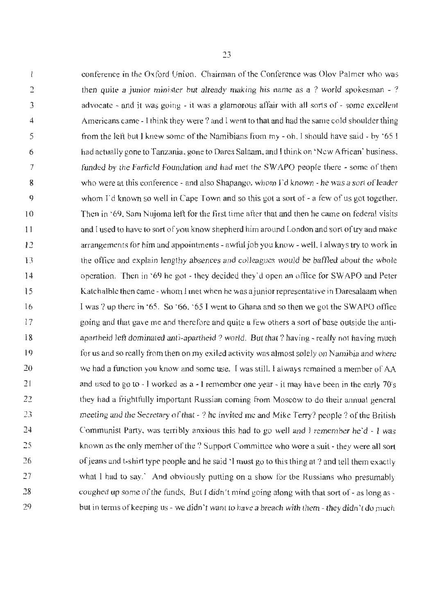conference in the Oxford Union. Chairman of the Conference was Olov Palmer who was  $\mathbf{I}$ then quite a junior minister but already making his name as a ? world spokesman  $-$  ? 2 advocate - and it was going - it was a glamorous affair with all sorts of - some excellent 3 Americans came - l think they were? and I went to that and had the same cold shoulder thing 4 from the left but 1 knew some of the Namibians from my - oh, I should have said - by '65 l 5 had actuaJly gone to Tanzania. gone to Dares Salaam. and I think on 'New African' business, 6 funded by the Farfield Foundation and had met the SW APO people there - some of them 7 who were at this conference - and also Shapango, whom I'd known - he was a sort of leader 8 9 whom  $\Gamma$ d known so well in Cape Town and so this got a sort of - a few of us got together. Then in '69. Sam Nujoma left for the first time after that and then he came on federal visits 10 and I used to have to sort of you know shepherd him around London and sort of try and make I I arrangements for him and appointments - awful job you know - well, I always try to work in 12 the office and explain lengthy absences and colleagues would be baffled about the whole 13 operation. Then in '69 he got - they decided they'd open an office for SWAPO and Peter 14 Katchalble then came - whom I met when he was a junior representative in Daresalaam when 15 I was? up there in :65. So :66, :65 I went to Ghana and so then we got the SWAPO office 16 going and that gave me and 1therefore and quite a few others a sort of base outside the anti-17 apartheid left dominated anti-apartheid ? world. But that? having - really not having much 18 19 for us and so really from then on my exiled activity was almost solely on Namibia and where 20 we had a function you know and some use. I was still, I always remained a member of AA and used to go to - J worked as a - I remember one year - it may have been in the early ?O's 21 22 they had a frightfully important Russian coming from Moscow to do their annual general 23 meeting and the Secretary of that - ? he invited me and Mike Terry? people? of the British Communist Party, was terribly anxious this had to go well and I remember he'd  $\text{-}$  I was 24 25 known as the only member of the? Support Committee who wore a suit - they were all sort *16*  of jeans and t-shirt type people and he said 'I must go to this thing at ? and tell them exactly what I had to say.<sup>\*</sup> And obviously putting on a show for the Russians who presumably 27 28 coughed up some of the funds. But l didn't mind going along with that sort of - as long as - 29 but in terms of keeping us - we didn't want to have a breach with them - they didn't do much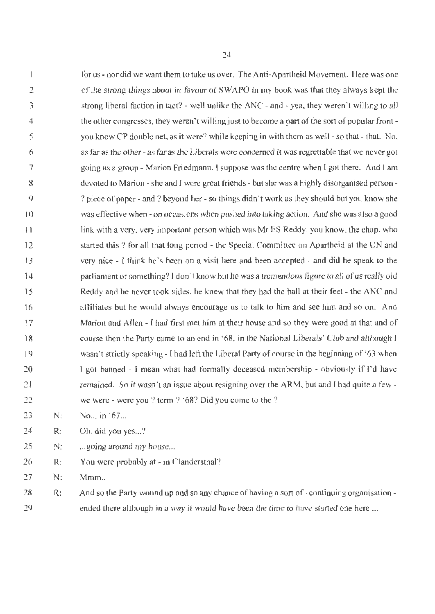for us - nor did we want them to take us over. The Anti-Apartheid Movement. Here was one  $\mathbf{I}$ 2 of the strong things about in favour of SW APO in my book was that they always kept the strong liberal faction in tact? - well unlike the ANC - and - yea, they weren't willing to all 3 the other congresses, they weren't willing just to become a part of the sort of popular front -4 you know CP double net, as it were? while keeping in with them as well - so that - that. No, 5 as far as the other - as far as the Liberals were concerned it was regrettable that we never got 6 7 going as a group - Marion Friedmann. I suppose was the centre when I got there. And I am 8 devoted to Marion - she and I were great friends - but she was a highly disorganised person - 9 ? piece of paper - and ? beyond her - so things didn't work as they should but you know she was effective when - on occasions when pushed into taking action. And she was also a good 10 link with a very, very important person which was Mr ES Reddy, you know, the chap. who I 1 started this ? for all that Jong period - the Special Committee on Apartheid at the UN and 12 very nice - I think he's been on a visit here and been accepted - and did he speak to the 13 parliament or something? I don't know but he was a tremendous figure to all of us really old 14 15 Reddy and he never took sides. he knew that they had the ball at their feet - the ANC and affiliates but he would always encourage us to talk to him and see him and so on. And 16 17 Marion and Allen - I had first met him at their house and so they were good at that and of course then the Party came to an end in '68, in the National Liberals' Club and although I 18 19 wasn't strictly speaking - I had left the Liberal Party of course in the beginning of '63 when 20 I got banned - I mean what had formally deceased membership - obviously if I'd have 21 remained. So it wasn't an issue about resigning over the ARM, but and I had quite a few we were - were you? term? '68? Did you come to the? 22

23 N: No... in '67...

24 R: Oh, did you yes...?

25 N: ... going around my house...

26 R: You were probably at - in Clandersthal?

27 N: Mmm.

28 29 R: And so the Party wound up and so any chance of having a sort of - continuing organisation ended there although in a way it would have been the time to have started one here ...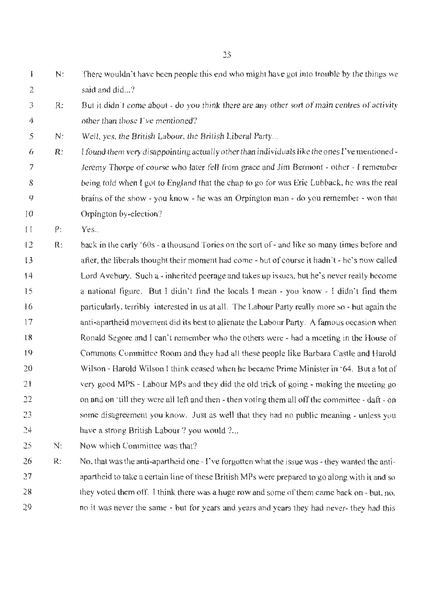$\mathbf{f}$ N: There wouldn't have been people this end who might have got into trouble by the things we 2 said and did...?

- 3 4 R: But it didn't come about - do you think there are any other sort of main centres of activity other than those ['ve mentioned?
- *5*  N: Well, yes, the British Labour, the British Liberal Party...
- 6 7 8 9 10 R: l found them very disappointing actually other than individuals Ii ke the ones l 've mentioned - Jeremy Thorpe of course who Later fell from grace and Jim Bermont - other - l remember being told when I got to England that the chap to go for was Eric Lubback. he was the real brains of the show - you know - he was an Orpington man - do you remember - won that Orpington by-election?
- 11 P: Yes..
- 12 13 14 15 16 17 18 19 20 21 22 23 24 R: back in the early '60s - a thousand Tories on the sort of - and like so many times before and after. the liberals thought their moment had come - but of course it hadn't - he's now caJled Lord A vebury. Such a - inherited peerage and takes up issues, but he's never really become a national figure. But I didn't find the locals  $l$  mean - you know - I didn't find them particularly, terribly interested in us at all. The Labour Party really more so - but again the anti-apartheid movement did its best to alienate the Labour Party. A famous occasion when Ronald Segore and l can't remember who the others were - had a meeting in the House of Commons Committee Room and they bad all these people like Barbara Castle and Harold Wilson - Harold Wilson I think ceased when he became Prime Minister in "64. But a lot of very good MPS - Labour MPs and they did the old trick of going - making the meeting go on and on 'till they were all left and then - then voting them all off the committee- daft- on some disagreement you know. Just as well that they had no public meaning - unless you have a strong British Labour ? you would ?...
- 25 N: Now which Committee was that?
- 26 27 28 29 R: No. that was the anti-apartheid one - I've forgotten what the issue was- they wanted the antiapartheid to take a certain line of these British MPs were prepared to go along with it and so they voted them off. I think there was a huge row and some of them came back on - but, no, no it was never the same - but for years and years and years they had never- they had this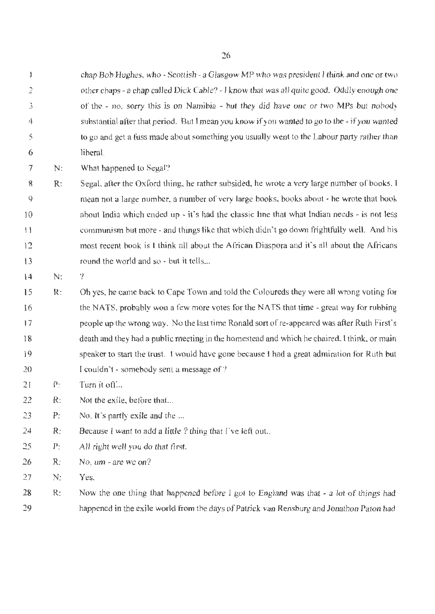chap Bob Hughes, who - Scottish - a Glasgow MP who was president J think and one or two other chaps - a chap called Dick Cable? - I know that was all quite good. Oddly enough one of the - no, sorry this is on Namibia - but they did have one or two MPs but nobody substantial after that period. But 1 mean you know if you wanted to go to the- if you wanted to go and get a fuss made about something you usually went to the Labour party rather than liberal.

7 N: What happened to Segal?

8 9 10 I 1 12  $13$ R: Segal, after the Oxford thing, he rather subsided, he wrote a very large number of books, I mean not a large number. a number of very large books, books about - he wrote that book about India which ended up - it's had the classic line that what lndian needs - is not less communism but more - and things like that which didn't go down frightfully well. And his most recent book is l think all about the African Diaspora and it's all about the Africans round the world and so - but it tells...

14 N:

2

 $\pmb{\mathbb{I}}$ 

3

4

*5* 

6

15 16 17 18 19 20 R: Oh yes, he came back to Cape Town and told the Coloureds they were all wrong voting for the NATS, probably won a few more votes for the NATS that time - great way for rubbing people up the wrong way. No the last time Ronald sort of re-appeared was after Ruth First's death and they had a public meeting in the homestead and which he chaired, l think, or main speaker to start the trust. I would have gone because l had a great admiration for Ruth but I couldn't - somebody sent a message of?

21 P: Turn it off...

?

22 R: Not the exile, before that...

23 P: No. It's partly exile and the ...

- 24 R: Because I want to add a little? thing that I've left out..
- 25 P: All right well you do that first.

26 R: No, um - are we on?

27 N: Yes.

28 29 R: Now the one thing that happened before I got to England was that - a lot of things had happened in the exile world from the days of Patrick van Rensburg and Jonathon Paton had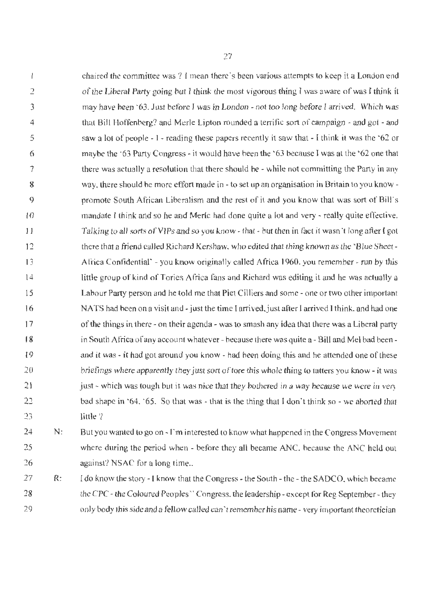chaired the committee was? **l** mean there's been various attempts to keep ita London end  $\mathbf{1}$ 2 of the Liberal Party going bu1t I think the most vigorous thing I was aware of was J think it 3 may have been '63. Just before I was in London - not too long before I arrived. Which was 4 that Bill Hoffenberg? and Merle Lipton rounded a terrific sort of campaign - and got - and 5 saw a lot of people - 1- reading these papers recently it saw that - I think it was the '62 or 6 maybe the '63 Party Congress - it would have been the '63 because I was at the '62 one that 7 there was actually a resolution that there should be - while not committing the Party in any 8 way, there should be more effort made in - to set up an organisation in Britain to you know- $\circ$ promote South African Liberalism and the rest of it and you know that was sort of Bill's 10 mandate I think and so he and Merle had done quite a lot and very - really quite effective. 11 Talking to all sorts of VIPs and so you know - that- but then in fact it wasn't long after l got there that a friend called Richard Kershaw, who edited that thing known as the · Blue Sheet-12 Africa Confidential' - you know originally called Africa 1960. you remember - run by this 13 14 little group of kind of Tories Africa fans and Richard was editing it and he was actually a Labour Party person and he told me that Piet Cilliers and some - one or two other important 15 16 NATS had been on a visit and - just the time I arrived, just after I arrived I think, and had one I 7 of the things in there - on their agenda - was to smash any idea that there was a Liberal party **18**  in South Africa of any account whatever- because there was quite a - Bill and Mel had been - 19 and it was - it had got around you know - had been doing this and he attended one of these 20 briefings where apparently they just sort of tore this whole thing to tatters you know - it was 21 just - which was tough but it was nice that they bothered in a way because we were in very 22 bad shape in '64, '65. So that was - that is the thing that I don't think so - we aborted that little ? 23

24 25 26 N: But you wanted to go on - f'm interested to know what happened in the Congress Movement where during the period when - before they all became ANC, because the ANC held out against? NSAC for a long time...

27 28 29 R: l do know the story - I know that the Congress - the South- the - the SADCO, which became the CPC - the Coloured Peoples' ' Congress, the leadership - except for Reg September-they only body this side and a felliow called can 'tremember his name - very important theoretician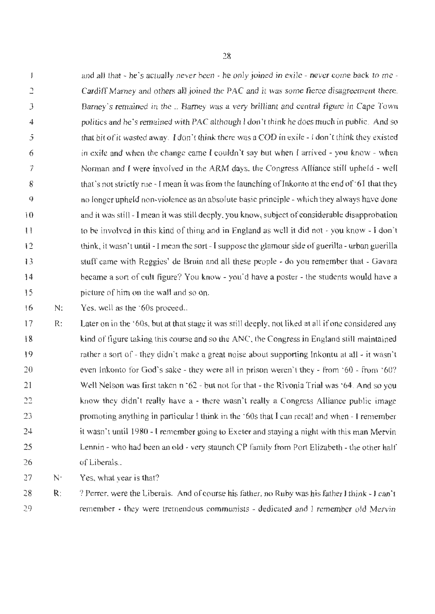$\mathbf{I}$ and all that - he's actually never been - he only joined in exile - never come back to me - 2 Cardiff Marney and others all joined the PAC and it was some fierce disagreement there. Barney's remained in the .. Barney was a very brilliant and central figure in Cape Town 3 4 politics and he ·s remained with PAC although I don't think he does much in public. And so that bit of it wasted away. I don't think there was a COD in exile - I don't think they existed 5 in exile and when the change came I couldn't say but when I arrived - you know - when 6 7 Norman and I were involved in the ARM days. the Congress Alliance still upheld - well that's not strictly rue -1 mean it was from the launching of Inkonto at the end of  $61$  that they 8 9 no longer upheld non-violence as an absolute basic principle - which they always have done and it was still - I mean it was still deeply, you know, subject of considerable disapprobation 10 to be involved in this kind of thing and in England as well it did not - you know - I don't l I 12 think, it wasn't until -I mean the sort - I suppose the glamour side of guerilla - urban guerilla 13 stuff came with Reggies' de Bruin and all these people - do you remember that - Gavara became a sort of cult figure? You know - you'd have a poster - the students would have a 14 15 picture of him on the wall and so on.

16 N: Yes, well as the '60s proceed..

17 18 19 20 21 22 23 24 25 26 R: Later on in the '60s, but at that stage it was still deeply. not liked at all if one considered any kind of figure taking this course and so the ANC, the Congress in England still maintained rather a sort of - they didn't make a great noise about supporting Inkontu at all - it wasn't even lnkonto for God's sake - they were all in prison weren't they - from '60 - from '60? Well Nelson was first taken n '62 - but not for that - the Rivonia Trial was '64. And so you know they didn't really have a - there wasn't really a Congress Alliance public image promoting anything in particular I think in the ·60s that I can recall and when - I remember it wasn't until 1980 - I remember going to Exeter and staying a night with this man Mervin Lennin - who had been an old - very staunch CP family from Port Elizabeth - the other half of Liberals ..

27 N· Yes, what year is that?

28 29 R: ? Perrer, were the Liberals. And of course his father, no Ruby was his father I think - I can't remember - they were tremendous communists - dedicated and I remember old Mervin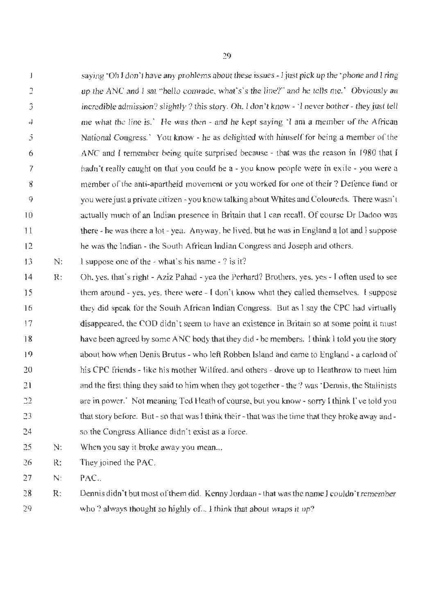$\overline{1}$ saying 'Oh I don't have any problems about these issues - I just pick up the 'phone and I ring 2 up the ANC and 1 sat "hello comrade. what's's the line?" and he tells me.' Obviously an incredible admission? slightly ? this story. Oh. I don't know - 'I never bother- they just tell 3 4 me what the line is.' He was then - and he kept saying · I am a member of the African National Congress.' You know - he as delighted with himself for being a member of the 5 ANC and I remember being quite surprised because - that was the reason in 1980 that 1 6 hadn't really caught on that you could be a - you know people were in exile - you were a 7 member of the anti-apartheid movement or you worked for one of their ? Defence fund or 8 9 you were just a private citizen-you knowtalkingabout Whites and Coloureds. There wasn't actually much of an Indian presence in Britain that l can recall. Of course Dr Dadoo was 10 there - he was there a lot - yea. Anyway, he Jived, but he was in England a lot and I suppose 1 l 12 he was the Indian - the South African Indian Congress and Joseph and others.

13 N: I suppose one of the - what's his name - ? is it?

- 14 15 16 17 I 8 19 20 21 22 23 24 R: Oh, yes, thaf s right - Aziz Pahad - yea the Perhard? Brothers. yes, yes - I often used to see them around - yes, yes, there were - I don't know what they called themselves. I suppose they did speak for the South African Indian Congress. But as I say the CPC had virtually disappeared, the COD didn' t seem to have an existence in Britain so at some point it must have been agreed by some ANC body that they did - be members. I think 1 told you the story about how when Denis Brutus - who left Robben Island and came to England - a carload of his CPC friends - like his mother Wilfred. and others - drove up to Heathrow to meet him and the first thing they said to him when they got together - the'? was' Dennis, the StaJinists are in power.<sup>•</sup> Not meaning Ted Heath of course, but you know - sorry I think I've told you that story before. But - so that was I think their - that was the time that they broke away and so the Congress Alliance didn't exist as a force.
- 25 N: When you say it broke away you mean...

26 R: They joined the PAC.

27 N: PAC..

28 29 R: Dennis didn't but most of them did. Kenny Jordaan - that was the name I couldn't remember who ? always thought so highly of... I think that about wraps it up?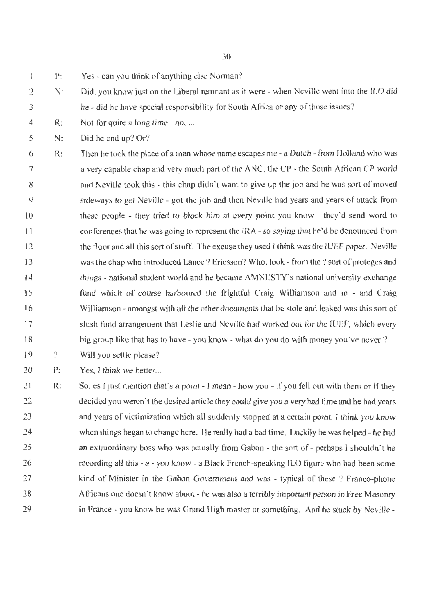$\mathbf{I}$ P: Yes - can you think of anything else Norman?

- 2 3 N: Did, you know just on the Liberal remnant as it were - when Neville went into the ILO did he - did he have special responsibility for South Africa or any of those issues?
- 4 R: Not for quite a long time - no., ...

5 N: Did he end up? Or?

6 7 8 9 10 1 I 12 13 14 15 16 17 18 R: Then he took the place of a man whose name escapes me - a Dutch - from Holland who was a very capable chap and very much part of the ANC, the CP - the South African CP world and Neville took this - this chap didn't want to give up the job and he was sort of moved sideways to get Neville - got the job and then Neville had years and years of attack from these people - they tried to block him at every point you know - they'd send word to conferences that he was going to represent the IRA - so saying that he'd be denounced from the floor and aJl this sort of stuff. The excuse they used I think was the lUEF paper. Neville was the chap who introduced Lance? Ericsson? Who. look - from the ? sort of proteges and things - national student world and he became AMNESTY's national university exchange fund which of course harboured the frightful Craig Williamson and in - and Craig Williamson - amongst with all the other documents that he stole and leaked was this sort of slush fund arrangement that Leslie and Neville had worked out for the IUEF, which every big group like that has to have - you know - what do you do with money you've never?

19 ? Will you settle please?

20 P: Yes, I think we better...

21 22 23 24 25 26 27 28 29 R: So, es I just mention that's a point - I mean - how you - if you fell out with them or if they decided you weren't the desired article they could give you a very bad time and he had years and years of victimization which all suddenly stopped at a certain point. I think you know when things began to cbange here. He really had a bad time. Luckily he was helped - he had an extraordinary boss who was actually from Gabon - the sort of - perhaps I shouldn't be recording all this - a - you know - a Black French-speaking JLO figure wbo had been some kind of Minister in the Gabon Government and was - typical of these ? Franco-phone Africans one doesn't know about - he was also a terribly important person in Free Masonry in France - you know he was Grand High master or something. And he stuck by Neville -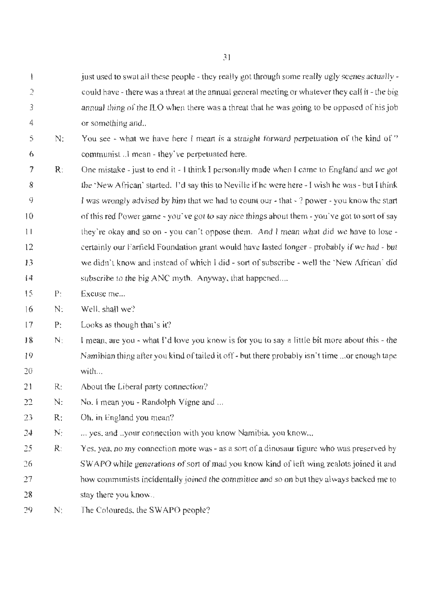just used to swat all these people - they really got through some really ugly scenes actually - $\mathbf{I}$  $\overline{2}$ could have - there was a threat at the annual general meeting or whatever they call it - the big *3*  annual thing of the ILO when there was a threat that he was going to be opposed of his job 4 or something and..

5 6 N: You see - what we have here I mean is a straight forward perpetuation of the kind of  $\theta$ communist ..I mean - they've perpetuated here.

- 7 8 9 10 1 I 12 13 14 R: One mistake- just to end it - I think l personally made when I came to England and we got the ·New African· started. I'd say this to Neville ifhe were here - J wish he was - but I think I was wrongly advised by him that we had to count our - that - ? power - you know the start of this red Power game - you've got to say nice things about them - you've got to sort of say they're okay and so on - you. can·t oppose them. And I mean what did we have to lose certainly our Farfield Foundation grant would have lasted longer - probably if we had - but we didn't know and instead of which I did - sort of subscribe - well the 'New African' did subscribe to the big ANC myth. Anyway, that happened....
- 15 P: Excuse me...
- 16 N: Well, shall we?
- 17 P: Looks as though that's it?
- 18 19 20 N: I mean, are you - what I'd love you know is for you to say a little bit more about this - the Namibian thing after you kind of tailed it off - but there probably isn't time ... or enough tape with...
- 21 R: About the Liberal party connection?
- 22 N: No. I mean you - Randolph Vigne and ...
- 23 R: Oh, in England you mean?
- *14*  N; ... yes, and ..your connection with you know Namibia, you know...
- 25 26 27 28 R: Yes, yea, no my connection more was - as a sort of a dinosaur figure who was preserved by SW APO while generations of sort of mad you know kind of left wing zealots joined it and how communists incidentally joined the committee and so on but they always backed me to stay there you know...
- 29  $N$ : The Coloureds, the SWAPO people?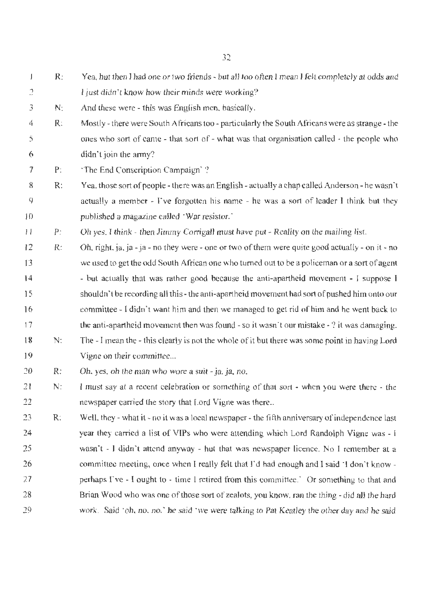$R$ : Yea, but then I had one or two friends - but all too often I mean I felt completely at odds and  $\mathbf{I}$ 2 I just didn't know how their minds were working?

- 3 **N:**  And these were - this was English men. basically.
- 4 *5*  6 R: Mostly - there were South Africans too - particularly the South Africans were as strange - the ones who sort of came - that sort of - what was that organisation called - the people who didn't join the army?
- 7 P: 'The End Conscription Campaign· ?
- 8 9 10 R: Yea, those sort of people - there was an English - actually a chap called Anderson - he wasn't actually a member - I've forgotten his name - he was a sort of leader I think but they published a magazine called 'War resistor.'

 $11$ P: Oh yes, I think - then Jimmy Corrigall must have put - Reality on the mailing list.

- 12 13 14 15 16 17 **18**  R: N: Oh, right, ja, ja - ja - no they were - one or two of them were quite good actually - on it - no we used to get the odd South African one who turned out to be a policeman or a sort of agent - but actually that was rather good because the anti-apartheid movement - I suppose J shouldn't be recording all this - the anti-apartheid movement had sort of pushed him onto our committee - f didn't want him and then we managed to get rid of him and he went back to the anti-apartheid movement then was found - so it wasn't our mistake  $\cdot$  ? it was damaging. The - I mean the - this clearly is not the whole of it but there was some point in having Lord
- 19 Vigne on their committee...

20 R: Oh. yes, oh the man who wore a suit - ja, ja, no,

- 21 22 N: l must say at a recent celebration or something of that sort - when you were there - the newspaper carried the story that Lord Vigne was there ..
- 23 24 25 26 27 28 29 R: Well, they - what it - no it was a local newspaper - the fifth anniversary of independence last year they carried a list of VIPs who were attending which Lord Randolph Vigne was - I wasn't - I didn't attend anyway - hut that was newspaper licence. No I remember at a committee meeting, once when I really felt that I'd had enough and I said  $\pm$  don't know perhaps I've - I ought to - time I retired from this committee.' Or something to that and Brian Wood who was one of those sort of zealots, you know. ran the thing - did all the hard work. Said 'oh, no, no.' he said 'we were talking to Pat Keatley the other day and he said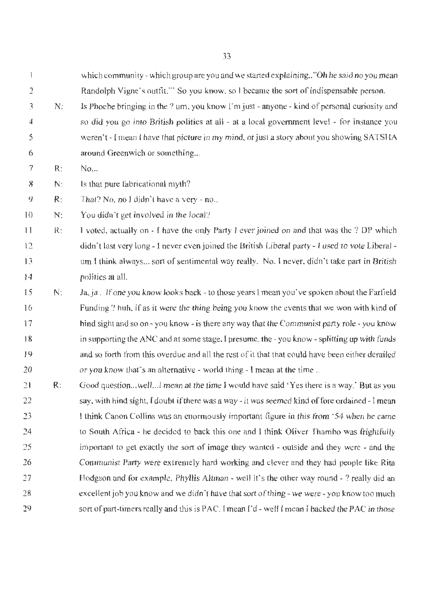which community - which group are you and we started explaining.."Oh he said no you mean Randolph Vigne's outfit."' So you know, so I became the sort of indispensable person.

3 4 5 6 N: Is Phoebe bringing in the ? um, you know I'm just - anyone - kind of personal curiosity and so did you go into British politics at all - at a local government level - for instance you weren't - I mean I have that picture in my mind, or just a story about you showing SATSHA around Greenwich or something...

7 R:  $No...$ 

2

 $\mathop{!}\nolimits$ 

8 N: ls that pure fabricational myth?

9 R: That? No, no 1 didn't have a very - no...

10 N: You didn't get involved in the local?

1 I 12 13 14 R: J voted, actually on - I have the only Party I ever joined on and that was the? DP which didn't last very long - I never even joined the British Liberal party - I used to vote Liberal um l think always ... sort of sentimental way really. No. I never. didn't take part in British politics at all.

15 16 17 18 19 20 N: Ja, ja. If one you know looks back - to those years I mean you've spoken about the Farfield Funding ? huh, if as it were the thing being you know the events that we won with kind of bind sight and so on - you know - is there any way that the Communist party role - you know in supporting the ANC and at some stage, J presume. the -you know- splitting up with funds and so forth from this overdue and all the rest of it that that could have been either derailed or you know that's an alternative - world thing - I mean at the time ..

 $21$ 22 23 24 25 26 27 28 29 R: Good question... well... I mean at the time I would have said 'Yes there is a way.' But as you say. with hind sight, I doubt if there was a way- it was seemed kind of fore ordained - I mean 1 think Canon Collins was an enormously important figure in this from '54 when he came to South Africa - he decided to back this one and I think Oliver Thambo was frightfully important to get exactly the sort of image they wanted - outside and they were - and the Communist Party were extremely hard working and clever and they had people like Rita Hodgson and for example, Phyllis Altman - well it's the other way round - ? really did an excellent job you know and we didn't have that sort of thing- we were-you know too much sort of part-timers really and this is PAC. I mean I'd - well I mean I backed the PAC in those